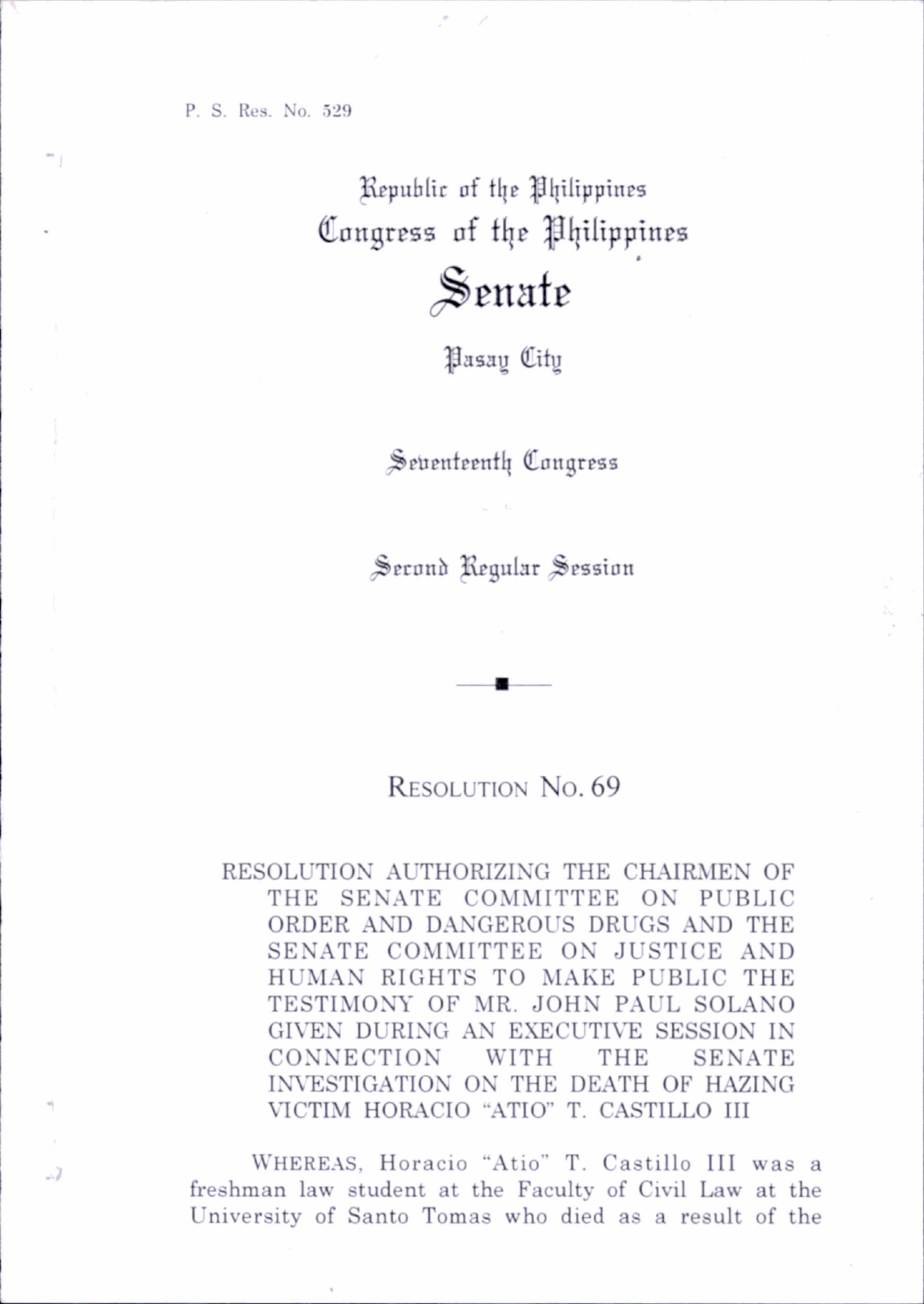P. S. Res. No. 529

- 7

Republic of the Philippines Congress of the Philippines

## Senate

^asau City

Seventeenth Congress

Second Regular Session

## RESOLUTION No. 69

RESOLUTION AUTHORIZING THE CHAIRMEN OF THE SENATE COMMITTEE ON PUBLIC ORDER AND DANGEROUS DRUGS AND THE SENATE COMMITTEE ON JUSTICE AND HUMAN RIGHTS TO MAKE PUBLIC THE TESTIMONY OF MR. JOHN PAUL SOLANO GIVEN DURING AN EXECUTIVE SESSION IN CONNECTION WITH THE SENATE INVESTIGATION ON THE DEATH OF HAZING VICTIM HORACIO "ATIO" T. CASTILLO III

WHEREAS, Horacio "Atio" T. Castillo III was a freshman law student at the Faculty of Civil Law at the University of Santo Tomas who died as a result of the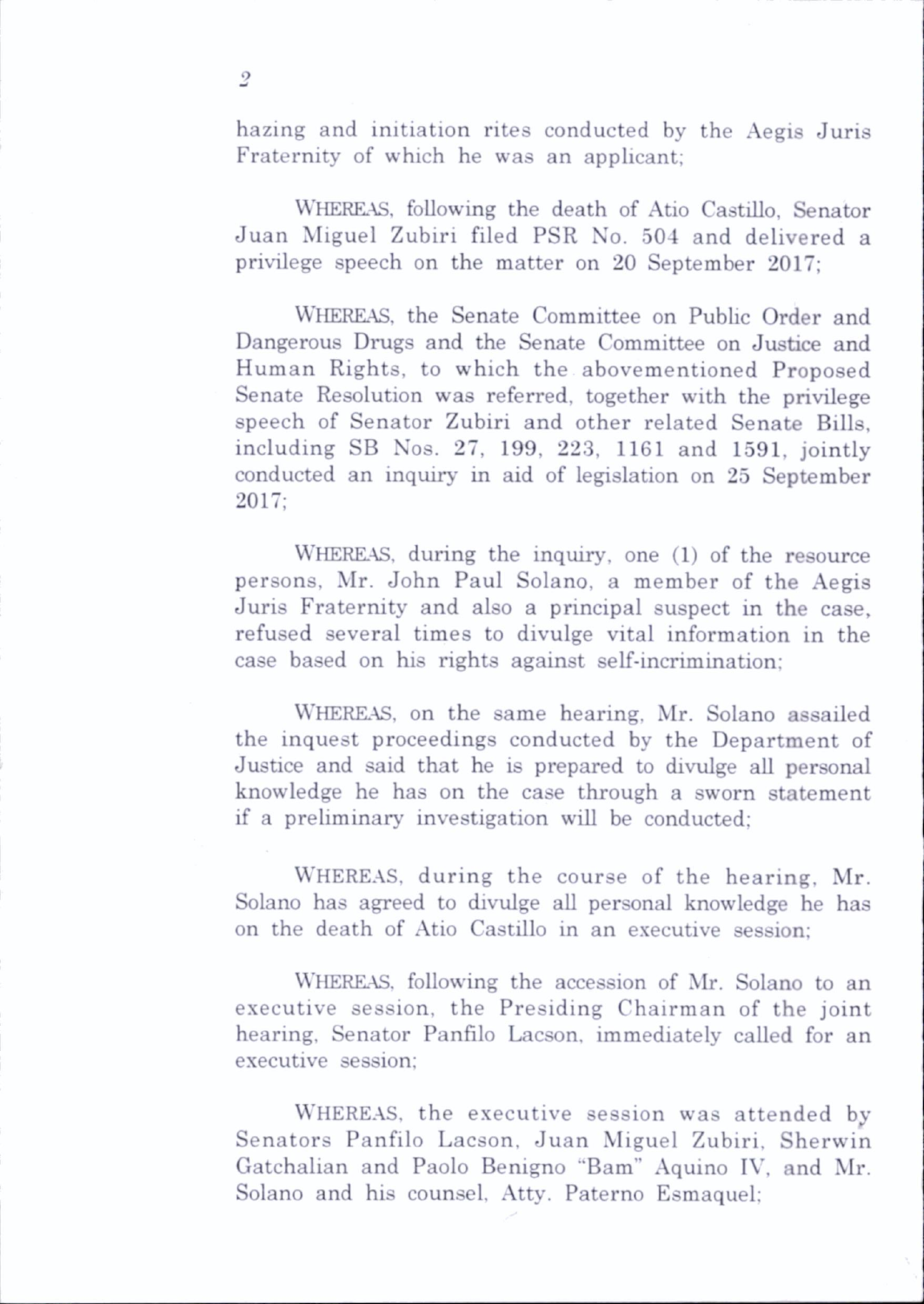hazing and initiation rites conducted by the Aegis Juris Fraternity of which he was an applicant;

WHEREAS, following the death of Atio Castillo, Senator Juan Miguel Zubiri filed PSR No. 504 and delivered a privilege speech on the matter on 20 September 2017;

WHEREAS, the Senate Committee on Public Order and Dangerous Drugs and the Senate Committee on Justice and Human Rights, to which the abovementioned Proposed Senate Resolution was referred, together with the privilege speech of Senator Zubiri and other related Senate Bills, including SB Nos. 27, 199, 223, 1161 and 1591, jointly conducted an inquiry in aid of legislation on 25 September 2017;

WHEREAS, during the inquiry, one (1) of the resource persons, Mr. John Paul Solano, a member of the Aegis Juris Fraternity and also a principal suspect in the case, refused several times to divulge vital information in the case based on his rights against self-incrimination;

WHERKAS. on the same hearing. Mr. Solano assailed the inquest proceedings conducted by the Department of Justice and said that he is prepared to divulge all personal knowledge he has on the case through a sworn statement if a preliminary investigation will be conducted;

WHEREAS, during the course of the hearing, Mr. Solano has agreed to divulge all personal knowledge he has on the death of Atio Castillo in an executive session:

Whereas, following the accession of Mr. Solano to an executive session, the Presiding Chairman of the joint hearing. Senator Panfilo Lacson, immediately called for an executive session;

WHEREAS, the executive session was attended by Senators Panfilo Lacson. Juan Miguel Zubiri, Sherwin Gatchalian and Paolo Benigno "Bam" Aquino IV, and Mr. Solano and his counsel. Atty. Paterno Esmaquel;

 $\overline{2}$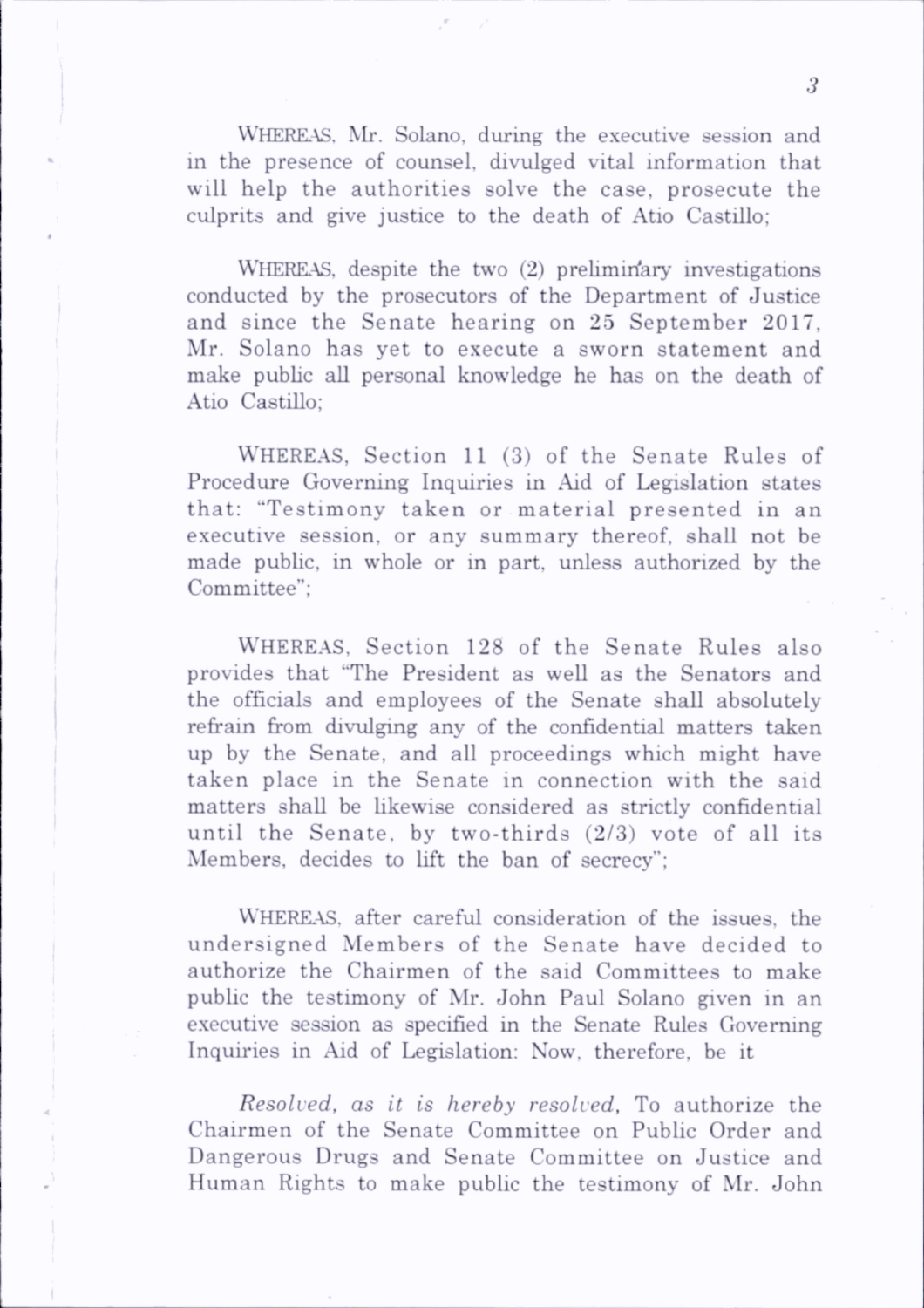WHEREAS, Mr. Solano, during the executive session and in the presence of counsel, divulged vital information that will help the authorities solve the case, prosecute the culprits and give justice to the death of Atio Castillo;

WHEREAS, despite the two (2) preliminary investigations conducted by the prosecutors of the Department of Justice and since the Senate hearing on 25 September 2017, Mr. Solano has yet to execute a sworn statement and make public all personal knowledge he has on the death of Atio Castillo;

WHEREAS, Section 11 (3) of the Senate Rules of Procedure Governing Inquiries in Aid of Legislation states that: "Testimony taken or material presented in an executive session, or any summary thereof, shall not be made public, in whole or in part, unless authorized by the Committee";

WHEREAS, Section 128 of the Senate Rules also provides that "The President as well as the Senators and the officials and employees of the Senate shall absolutely refrain from divulging any of the confidential matters taken up by the Senate, and all proceedings which might have taken place in the Senate in connection with the said matters shall be likewise considered as strictly confidential until the Senate, by two-thirds  $(2/3)$  vote of all its Members, decides to lift the ban of secrecy";

WHEREAS, after careful consideration of the issues, the undersigned Members of the Senate have decided to authorize the Chairmen of the said Committees to make public the testimony of Mr. John Paul Solano given in an executive session as specified in the Senate Rules Governing Inquiries in Aid of Legislation: Now. therefore, be it

Resolved, as it is hereby resolved, To authorize the Chairmen of the Senate Committee on Public Order and Dangerous Drugs and Senate Committee on Justice and Human Rights to make public the testimony of Mr. John